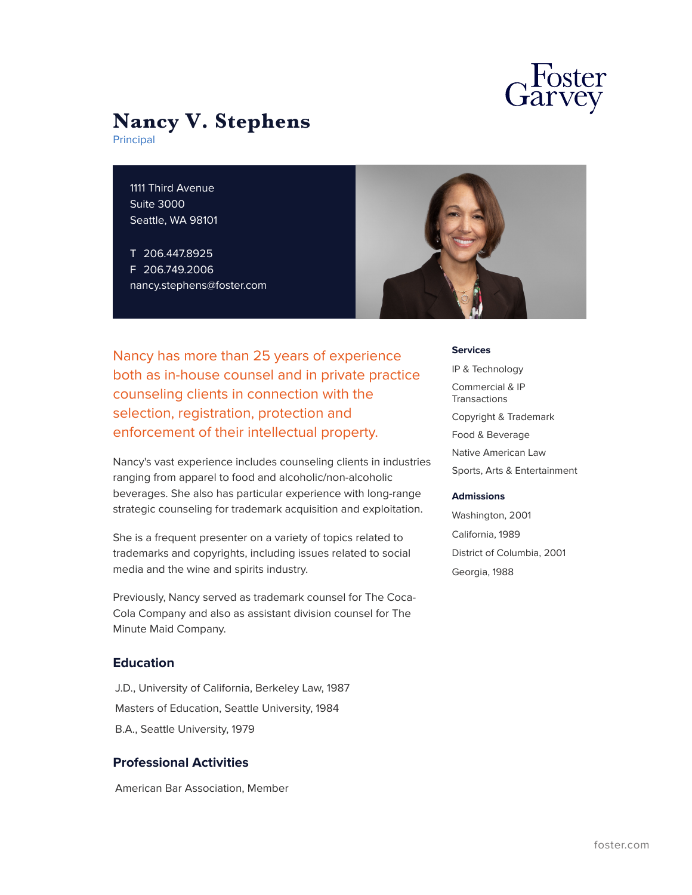

# **Nancy V. Stephens**

Principal

1111 Third Avenue Suite 3000 Seattle, WA 98101

T 206.447.8925 F 206.749.2006 nancy.stephens@foster.com



Nancy has more than 25 years of experience both as in-house counsel and in private practice counseling clients in connection with the selection, registration, protection and enforcement of their intellectual property.

Nancy's vast experience includes counseling clients in industries ranging from apparel to food and alcoholic/non-alcoholic beverages. She also has particular experience with long-range strategic counseling for trademark acquisition and exploitation.

She is a frequent presenter on a variety of topics related to trademarks and copyrights, including issues related to social media and the wine and spirits industry.

Previously, Nancy served as trademark counsel for The Coca-Cola Company and also as assistant division counsel for The Minute Maid Company.

### **Education**

J.D., University of California, Berkeley Law, 1987 Masters of Education, Seattle University, 1984 B.A., Seattle University, 1979

#### **Professional Activities**

American Bar Association, Member

**Services**

IP & Technology Commercial & IP **Transactions** Copyright & Trademark Food & Beverage Native American Law Sports, Arts & Entertainment

#### **Admissions**

Washington, 2001 California, 1989 District of Columbia, 2001 Georgia, 1988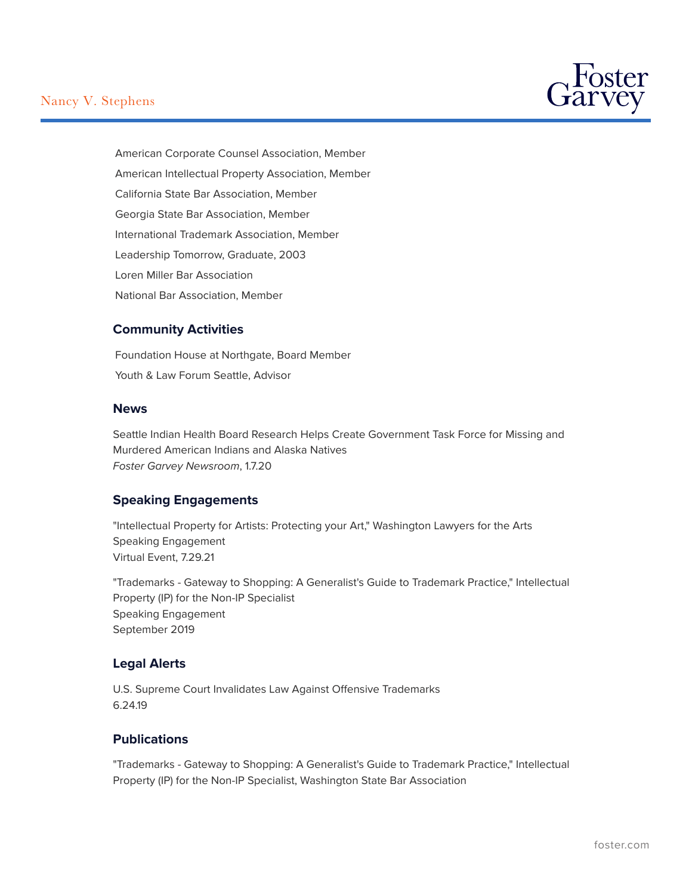# Nancy V. Stephens



American Corporate Counsel Association, Member American Intellectual Property Association, Member California State Bar Association, Member Georgia State Bar Association, Member International Trademark Association, Member Leadership Tomorrow, Graduate, 2003 Loren Miller Bar Association National Bar Association, Member

# **Community Activities**

Foundation House at Northgate, Board Member Youth & Law Forum Seattle, Advisor

#### **News**

Seattle Indian Health Board Research Helps Create Government Task Force for Missing and Murdered American Indians and Alaska Natives *Foster Garvey Newsroom*, 1.7.20

#### **Speaking Engagements**

"Intellectual Property for Artists: Protecting your Art," Washington Lawyers for the Arts Speaking Engagement Virtual Event, 7.29.21

"Trademarks - Gateway to Shopping: A Generalist's Guide to Trademark Practice," Intellectual Property (IP) for the Non-IP Specialist Speaking Engagement September 2019

# **Legal Alerts**

U.S. Supreme Court Invalidates Law Against Offensive Trademarks 6.24.19

# **Publications**

"Trademarks - Gateway to Shopping: A Generalist's Guide to Trademark Practice," Intellectual Property (IP) for the Non-IP Specialist, Washington State Bar Association